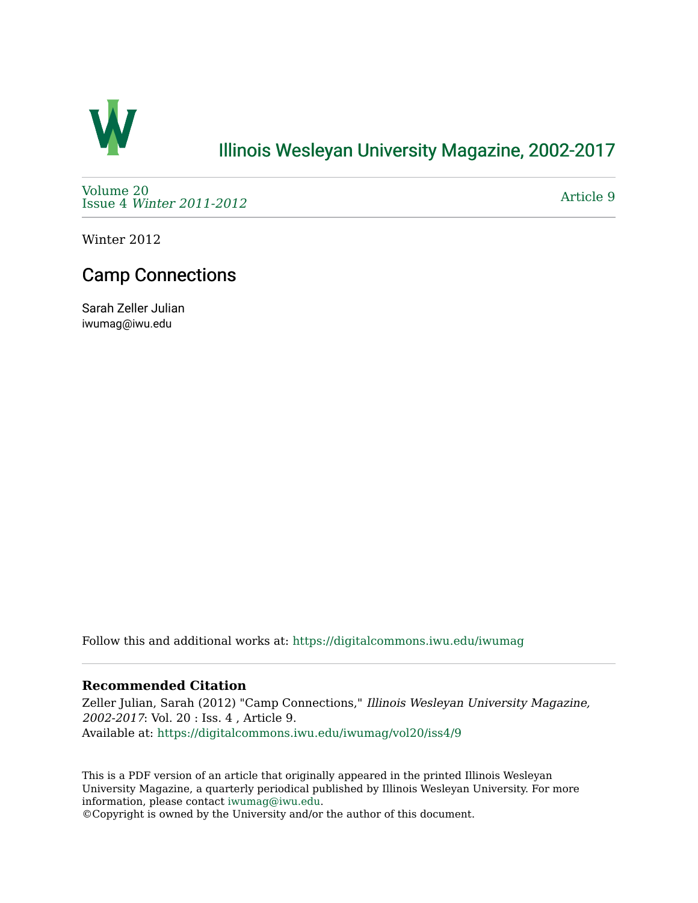

## [Illinois Wesleyan University Magazine, 2002-2017](https://digitalcommons.iwu.edu/iwumag)

[Volume 20](https://digitalcommons.iwu.edu/iwumag/vol20)  Issue 4 [Winter 2011-2012](https://digitalcommons.iwu.edu/iwumag/vol20/iss4)

[Article 9](https://digitalcommons.iwu.edu/iwumag/vol20/iss4/9) 

Winter 2012

## Camp Connections

Sarah Zeller Julian iwumag@iwu.edu

Follow this and additional works at: [https://digitalcommons.iwu.edu/iwumag](https://digitalcommons.iwu.edu/iwumag?utm_source=digitalcommons.iwu.edu%2Fiwumag%2Fvol20%2Fiss4%2F9&utm_medium=PDF&utm_campaign=PDFCoverPages) 

#### **Recommended Citation**

Zeller Julian, Sarah (2012) "Camp Connections," Illinois Wesleyan University Magazine, 2002-2017: Vol. 20 : Iss. 4 , Article 9. Available at: [https://digitalcommons.iwu.edu/iwumag/vol20/iss4/9](https://digitalcommons.iwu.edu/iwumag/vol20/iss4/9?utm_source=digitalcommons.iwu.edu%2Fiwumag%2Fvol20%2Fiss4%2F9&utm_medium=PDF&utm_campaign=PDFCoverPages)

This is a PDF version of an article that originally appeared in the printed Illinois Wesleyan University Magazine, a quarterly periodical published by Illinois Wesleyan University. For more information, please contact [iwumag@iwu.edu](mailto:iwumag@iwu.edu).

©Copyright is owned by the University and/or the author of this document.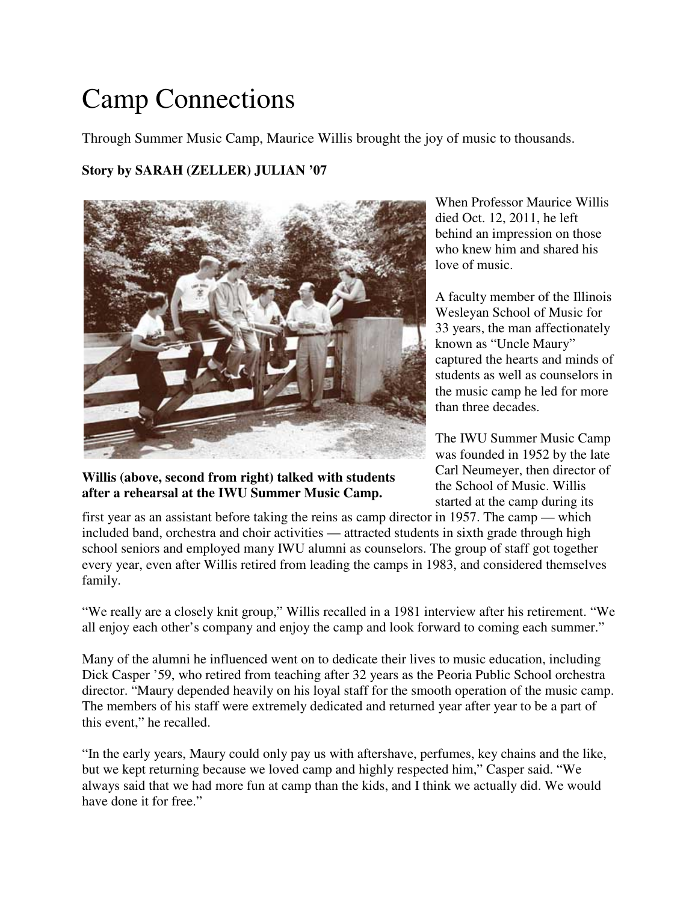# Camp Connections

Through Summer Music Camp, Maurice Willis brought the joy of music to thousands.

### **Story by SARAH (ZELLER) JULIAN '07**



**Willis (above, second from right) talked with students after a rehearsal at the IWU Summer Music Camp.**

When Professor Maurice Willis died Oct. 12, 2011, he left behind an impression on those who knew him and shared his love of music.

A faculty member of the Illinois Wesleyan School of Music for 33 years, the man affectionately known as "Uncle Maury" captured the hearts and minds of students as well as counselors in the music camp he led for more than three decades.

The IWU Summer Music Camp was founded in 1952 by the late Carl Neumeyer, then director of the School of Music. Willis started at the camp during its

first year as an assistant before taking the reins as camp director in 1957. The camp — which included band, orchestra and choir activities — attracted students in sixth grade through high school seniors and employed many IWU alumni as counselors. The group of staff got together every year, even after Willis retired from leading the camps in 1983, and considered themselves family.

"We really are a closely knit group," Willis recalled in a 1981 interview after his retirement. "We all enjoy each other's company and enjoy the camp and look forward to coming each summer."

Many of the alumni he influenced went on to dedicate their lives to music education, including Dick Casper '59, who retired from teaching after 32 years as the Peoria Public School orchestra director. "Maury depended heavily on his loyal staff for the smooth operation of the music camp. The members of his staff were extremely dedicated and returned year after year to be a part of this event," he recalled.

"In the early years, Maury could only pay us with aftershave, perfumes, key chains and the like, but we kept returning because we loved camp and highly respected him," Casper said. "We always said that we had more fun at camp than the kids, and I think we actually did. We would have done it for free."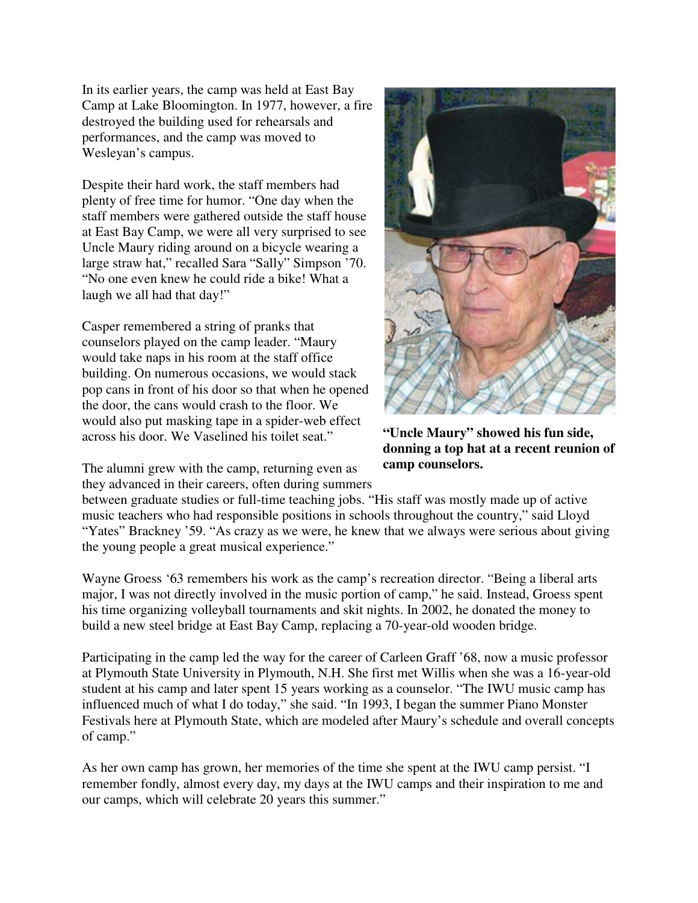In its earlier years, the camp was held at East Bay Camp at Lake Bloomington. In 1977, however, a fire destroyed the building used for rehearsals and performances, and the camp was moved to Wesleyan's campus.

Despite their hard work, the staff members had plenty of free time for humor. "One day when the staff members were gathered outside the staff house at East Bay Camp, we were all very surprised to see Uncle Maury riding around on a bicycle wearing a large straw hat," recalled Sara "Sally" Simpson '70. "No one even knew he could ride a bike! What a laugh we all had that day!"

Casper remembered a string of pranks that counselors played on the camp leader. "Maury would take naps in his room at the staff office building. On numerous occasions, we would stack pop cans in front of his door so that when he opened the door, the cans would crash to the floor. We would also put masking tape in a spider-web effect across his door. We Vaselined his toilet seat."

The alumni grew with the camp, returning even as they advanced in their careers, often during summers



**"Uncle Maury" showed his fun side, donning a top hat at a recent reunion of camp counselors.**

between graduate studies or full-time teaching jobs. "His staff was mostly made up of active music teachers who had responsible positions in schools throughout the country," said Lloyd "Yates" Brackney '59. "As crazy as we were, he knew that we always were serious about giving the young people a great musical experience."

Wayne Groess '63 remembers his work as the camp's recreation director. "Being a liberal arts major, I was not directly involved in the music portion of camp," he said. Instead, Groess spent his time organizing volleyball tournaments and skit nights. In 2002, he donated the money to build a new steel bridge at East Bay Camp, replacing a 70-year-old wooden bridge.

Participating in the camp led the way for the career of Carleen Graff '68, now a music professor at Plymouth State University in Plymouth, N.H. She first met Willis when she was a 16-year-old student at his camp and later spent 15 years working as a counselor. "The IWU music camp has influenced much of what I do today," she said. "In 1993, I began the summer Piano Monster Festivals here at Plymouth State, which are modeled after Maury's schedule and overall concepts of camp."

As her own camp has grown, her memories of the time she spent at the IWU camp persist. "I remember fondly, almost every day, my days at the IWU camps and their inspiration to me and our camps, which will celebrate 20 years this summer."